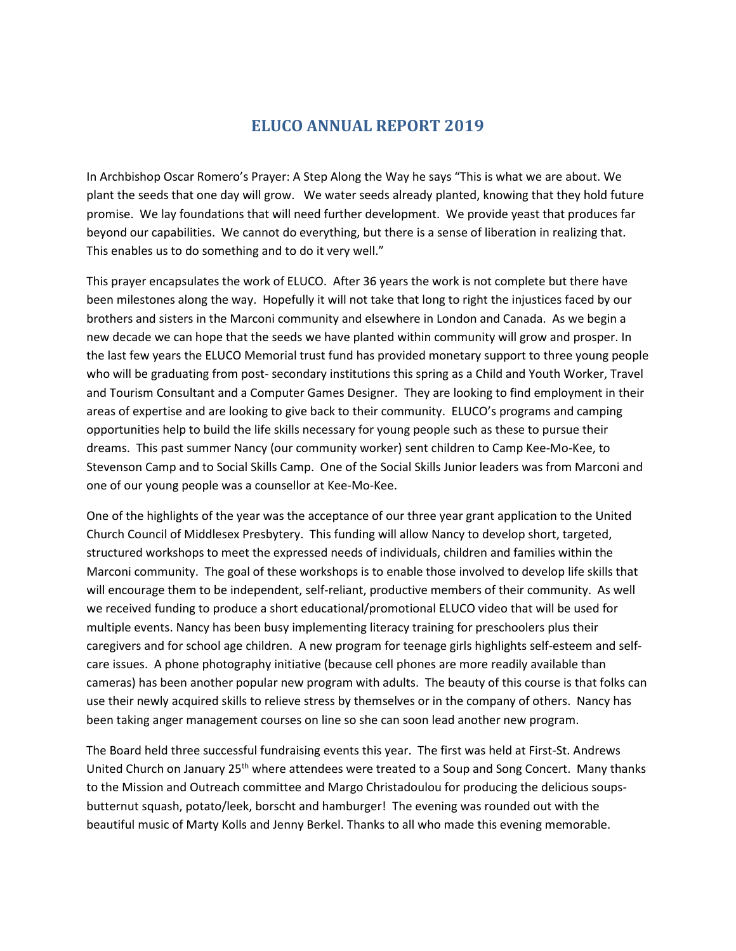## **ELUCO ANNUAL REPORT 2019**

In Archbishop Oscar Romero's Prayer: A Step Along the Way he says "This is what we are about. We plant the seeds that one day will grow. We water seeds already planted, knowing that they hold future promise. We lay foundations that will need further development. We provide yeast that produces far beyond our capabilities. We cannot do everything, but there is a sense of liberation in realizing that. This enables us to do something and to do it very well."

This prayer encapsulates the work of ELUCO. After 36 years the work is not complete but there have been milestones along the way. Hopefully it will not take that long to right the injustices faced by our brothers and sisters in the Marconi community and elsewhere in London and Canada. As we begin a new decade we can hope that the seeds we have planted within community will grow and prosper. In the last few years the ELUCO Memorial trust fund has provided monetary support to three young people who will be graduating from post- secondary institutions this spring as a Child and Youth Worker, Travel and Tourism Consultant and a Computer Games Designer. They are looking to find employment in their areas of expertise and are looking to give back to their community. ELUCO's programs and camping opportunities help to build the life skills necessary for young people such as these to pursue their dreams. This past summer Nancy (our community worker) sent children to Camp Kee-Mo-Kee, to Stevenson Camp and to Social Skills Camp. One of the Social Skills Junior leaders was from Marconi and one of our young people was a counsellor at Kee-Mo-Kee.

One of the highlights of the year was the acceptance of our three year grant application to the United Church Council of Middlesex Presbytery. This funding will allow Nancy to develop short, targeted, structured workshops to meet the expressed needs of individuals, children and families within the Marconi community. The goal of these workshops is to enable those involved to develop life skills that will encourage them to be independent, self-reliant, productive members of their community. As well we received funding to produce a short educational/promotional ELUCO video that will be used for multiple events. Nancy has been busy implementing literacy training for preschoolers plus their caregivers and for school age children. A new program for teenage girls highlights self-esteem and selfcare issues. A phone photography initiative (because cell phones are more readily available than cameras) has been another popular new program with adults. The beauty of this course is that folks can use their newly acquired skills to relieve stress by themselves or in the company of others. Nancy has been taking anger management courses on line so she can soon lead another new program.

The Board held three successful fundraising events this year. The first was held at First-St. Andrews United Church on January 25<sup>th</sup> where attendees were treated to a Soup and Song Concert. Many thanks to the Mission and Outreach committee and Margo Christadoulou for producing the delicious soupsbutternut squash, potato/leek, borscht and hamburger! The evening was rounded out with the beautiful music of Marty Kolls and Jenny Berkel. Thanks to all who made this evening memorable.